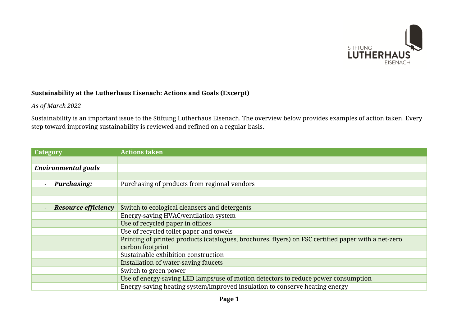

## **Sustainability at the Lutherhaus Eisenach: Actions and Goals (Excerpt)**

## *As of March 2022*

Sustainability is an important issue to the Stiftung Lutherhaus Eisenach. The overview below provides examples of action taken. Every step toward improving sustainability is reviewed and refined on a regular basis.

| Category                                               | <b>Actions taken</b>                                                                                |
|--------------------------------------------------------|-----------------------------------------------------------------------------------------------------|
|                                                        |                                                                                                     |
| <b>Environmental goals</b>                             |                                                                                                     |
|                                                        |                                                                                                     |
| <b>Purchasing:</b>                                     | Purchasing of products from regional vendors                                                        |
|                                                        |                                                                                                     |
|                                                        |                                                                                                     |
| <b>Resource efficiency</b><br>$\overline{\phantom{a}}$ | Switch to ecological cleansers and detergents                                                       |
|                                                        | Energy-saving HVAC/ventilation system                                                               |
|                                                        | Use of recycled paper in offices                                                                    |
|                                                        | Use of recycled toilet paper and towels                                                             |
|                                                        | Printing of printed products (catalogues, brochures, flyers) on FSC certified paper with a net-zero |
|                                                        | carbon footprint                                                                                    |
|                                                        | Sustainable exhibition construction                                                                 |
|                                                        | Installation of water-saving faucets                                                                |
|                                                        | Switch to green power                                                                               |
|                                                        | Use of energy-saving LED lamps/use of motion detectors to reduce power consumption                  |
|                                                        | Energy-saving heating system/improved insulation to conserve heating energy                         |